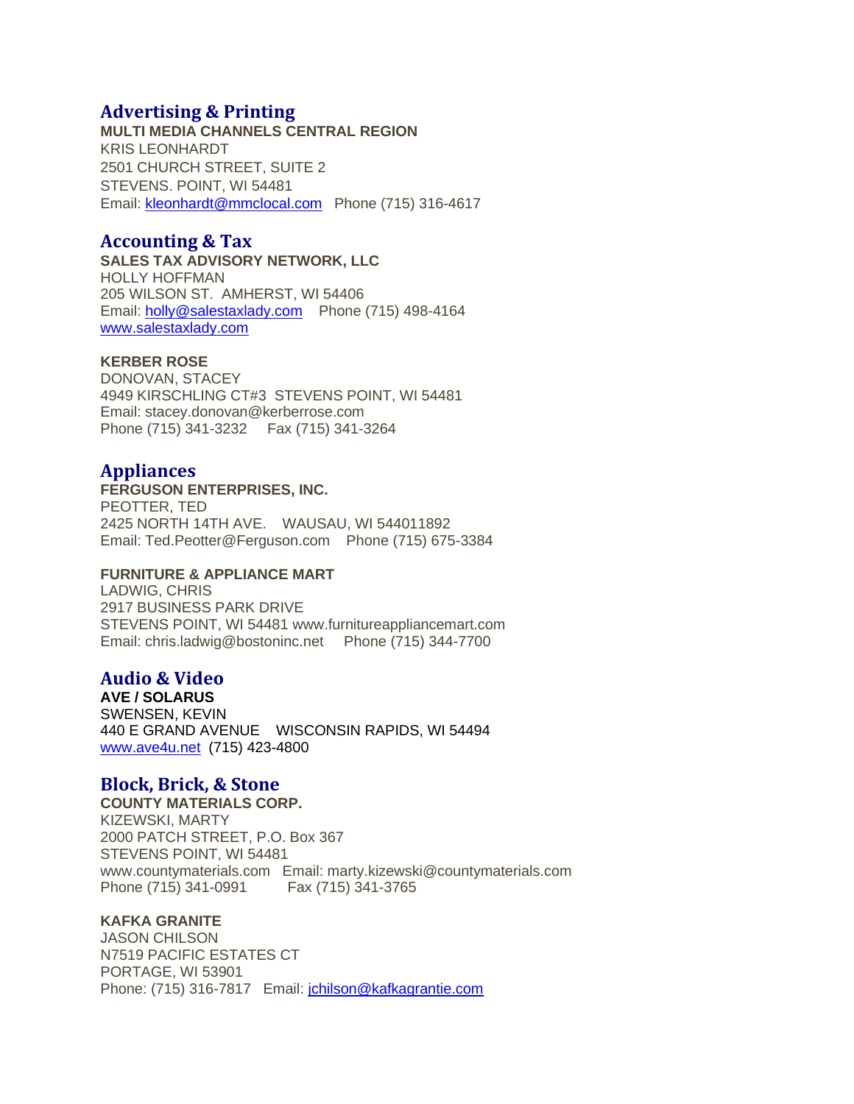# **Advertising & Printing**

**MULTI MEDIA CHANNELS CENTRAL REGION** KRIS LEONHARDT 2501 CHURCH STREET, SUITE 2 STEVENS. POINT, WI 54481 Email: [kleonhardt@mmclocal.com](mailto:kleonhardt@mmclocal.com) Phone (715) 316-4617

# **Accounting & Tax**

**SALES TAX ADVISORY NETWORK, LLC** HOLLY HOFFMAN 205 WILSON ST. AMHERST, WI 54406 Email: [holly@salestaxlady.com](mailto:holly@salestaxlady.com) Phone (715) 498-4164 [www.salestaxlady.com](http://www.salestaxlady.com/)

## **KERBER ROSE**

DONOVAN, STACEY 4949 KIRSCHLING CT#3 STEVENS POINT, WI 54481 Email: stacey.donovan@kerberrose.com Phone (715) 341-3232 Fax (715) 341-3264

# **Appliances**

## **FERGUSON ENTERPRISES, INC.**

PEOTTER, TED 2425 NORTH 14TH AVE. WAUSAU, WI 544011892 Email: Ted.Peotter@Ferguson.com Phone (715) 675-3384

## **FURNITURE & APPLIANCE MART**

LADWIG, CHRIS 2917 BUSINESS PARK DRIVE STEVENS POINT, WI 54481 www.furnitureappliancemart.com Email: chris.ladwig@bostoninc.net Phone (715) 344-7700

# **Audio & Video**

**AVE / SOLARUS** SWENSEN, KEVIN 440 E GRAND AVENUE WISCONSIN RAPIDS, WI 54494 [www.ave4u.net](https://www.ave4u.net/) (715) 423-4800

# **Block, Brick, & Stone**

**COUNTY MATERIALS CORP.** KIZEWSKI, MARTY 2000 PATCH STREET, P.O. Box 367 STEVENS POINT, WI 54481 www.countymaterials.com Email: marty.kizewski@countymaterials.com Phone (715) 341-0991 Fax (715) 341-3765

## **KAFKA GRANITE**

JASON CHILSON N7519 PACIFIC ESTATES CT PORTAGE, WI 53901 Phone: (715) 316-7817 Email: [jchilson@kafkagrantie.com](mailto:jchilson@kafkagrantie.com)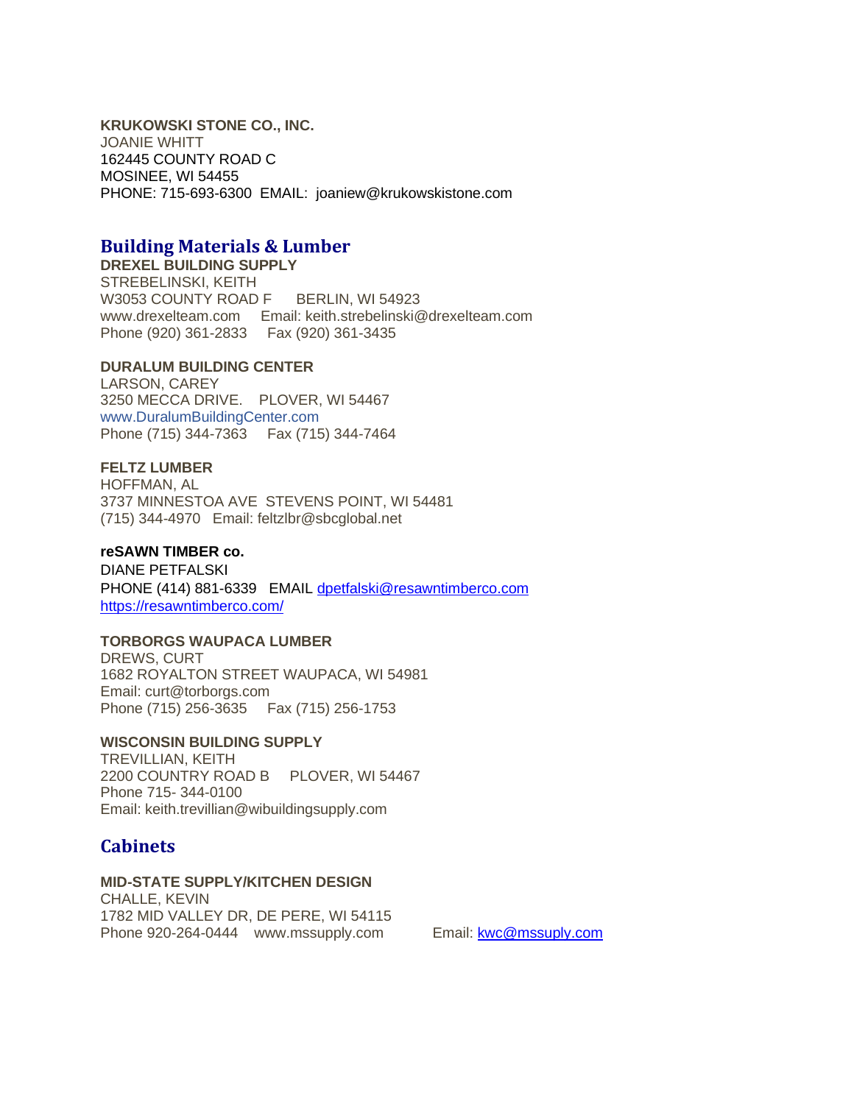**KRUKOWSKI STONE CO., INC.** JOANIE WHITT 162445 COUNTY ROAD C MOSINEE, WI 54455 PHONE: 715-693-6300 EMAIL: joaniew@krukowskistone.com

# **Building Materials & Lumber**

**DREXEL BUILDING SUPPLY** STREBELINSKI, KEITH W3053 COUNTY ROAD F BERLIN, WI 54923 www.drexelteam.com Email: keith.strebelinski@drexelteam.com Phone (920) 361-2833 Fax (920) 361-3435

## **DURALUM BUILDING CENTER**

LARSON, CAREY 3250 MECCA DRIVE. PLOVER, WI 54467 [www.DuralumBuildingCenter.com](http://www.duralumbuildingcenter.com/)  Phone (715) 344-7363 Fax (715) 344-7464

## **FELTZ LUMBER**

HOFFMAN, AL 3737 MINNESTOA AVE STEVENS POINT, WI 54481 (715) 344-4970 Email: feltzlbr@sbcglobal.net

## **reSAWN TIMBER co.**

DIANE PETFALSKI PHONE (414) 881-6339 EMAIL [dpetfalski@resawntimberco.com](mailto:dpetfalski@resawntimberco.com) <https://resawntimberco.com/>

### **TORBORGS WAUPACA LUMBER**

DREWS, CURT 1682 ROYALTON STREET WAUPACA, WI 54981 Email: curt@torborgs.com Phone (715) 256-3635 Fax (715) 256-1753

### **WISCONSIN BUILDING SUPPLY**

TREVILLIAN, KEITH 2200 COUNTRY ROAD B PLOVER, WI 54467 Phone 715- 344-0100 Email: keith.trevillian@wibuildingsupply.com

# **Cabinets**

## **MID-STATE SUPPLY/KITCHEN DESIGN**

CHALLE, KEVIN 1782 MID VALLEY DR, DE PERE, WI 54115 Phone 920-264-0444 www.mssupply.com Email: [kwc@mssuply.com](mailto:kwc@mssuply.com)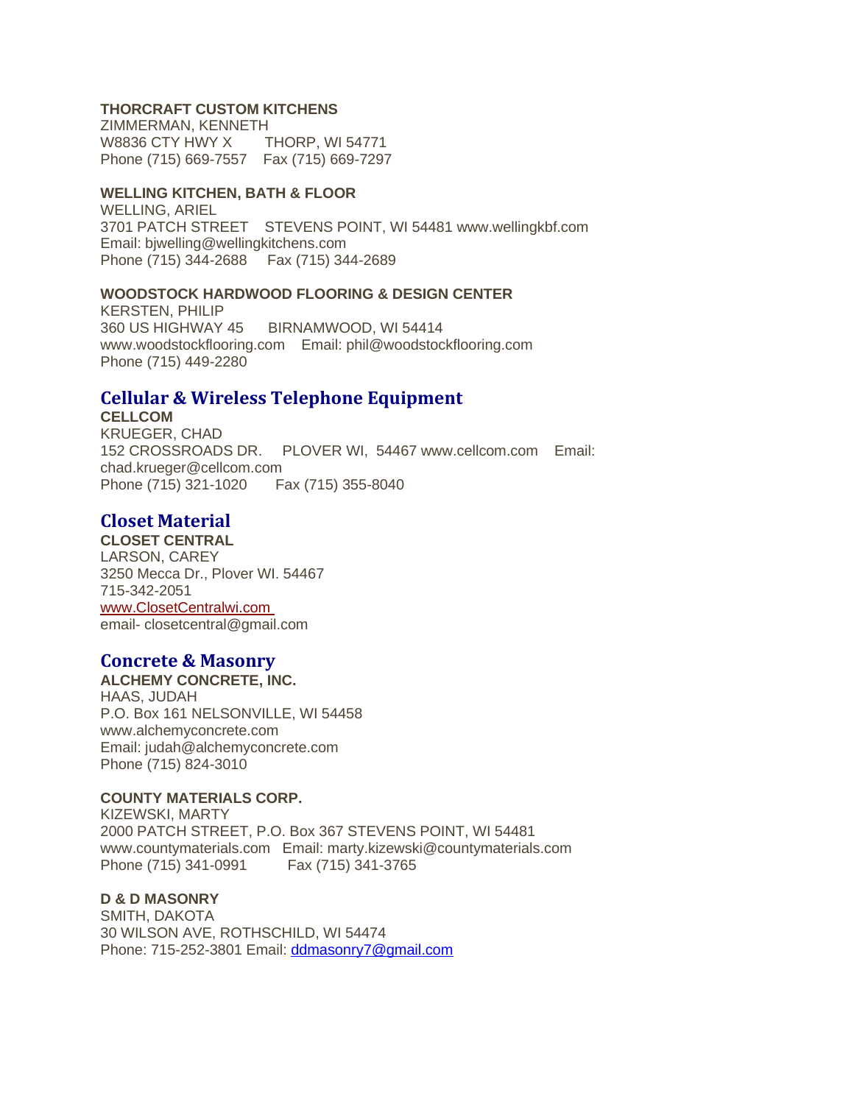## **THORCRAFT CUSTOM KITCHENS**

ZIMMERMAN, KENNETH W8836 CTY HWY X THORP, WI 54771 Phone (715) 669-7557 Fax (715) 669-7297

### **WELLING KITCHEN, BATH & FLOOR**

WELLING, ARIEL 3701 PATCH STREET STEVENS POINT, WI 54481 www.wellingkbf.com Email: bjwelling@wellingkitchens.com Phone (715) 344-2688 Fax (715) 344-2689

### **WOODSTOCK HARDWOOD FLOORING & DESIGN CENTER**

KERSTEN, PHILIP 360 US HIGHWAY 45 BIRNAMWOOD, WI 54414 www.woodstockflooring.com Email: phil@woodstockflooring.com Phone (715) 449-2280

# **Cellular & Wireless Telephone Equipment**

**CELLCOM** KRUEGER, CHAD 152 CROSSROADS DR. PLOVER WI, 54467 www.cellcom.com Email: chad.krueger@cellcom.com Phone (715) 321-1020 Fax (715) 355-8040

# **Closet Material**

**CLOSET CENTRAL** LARSON, CAREY 3250 Mecca Dr., Plover WI. 54467 715-342-2051 [www.ClosetCentralwi.com](http://www.closetcentralwi.com/) email- closetcentral@gmail.com

# **Concrete & Masonry**

**ALCHEMY CONCRETE, INC.** HAAS, JUDAH P.O. Box 161 NELSONVILLE, WI 54458 www.alchemyconcrete.com Email: judah@alchemyconcrete.com Phone (715) 824-3010

## **COUNTY MATERIALS CORP.**

KIZEWSKI, MARTY 2000 PATCH STREET, P.O. Box 367 STEVENS POINT, WI 54481 www.countymaterials.com Email: marty.kizewski@countymaterials.com Phone (715) 341-0991 Fax (715) 341-3765

# **D & D MASONRY**

SMITH, DAKOTA 30 WILSON AVE, ROTHSCHILD, WI 54474 Phone: 715-252-3801 Email: [ddmasonry7@gmail.com](mailto:ddmasonry7@gmail.com)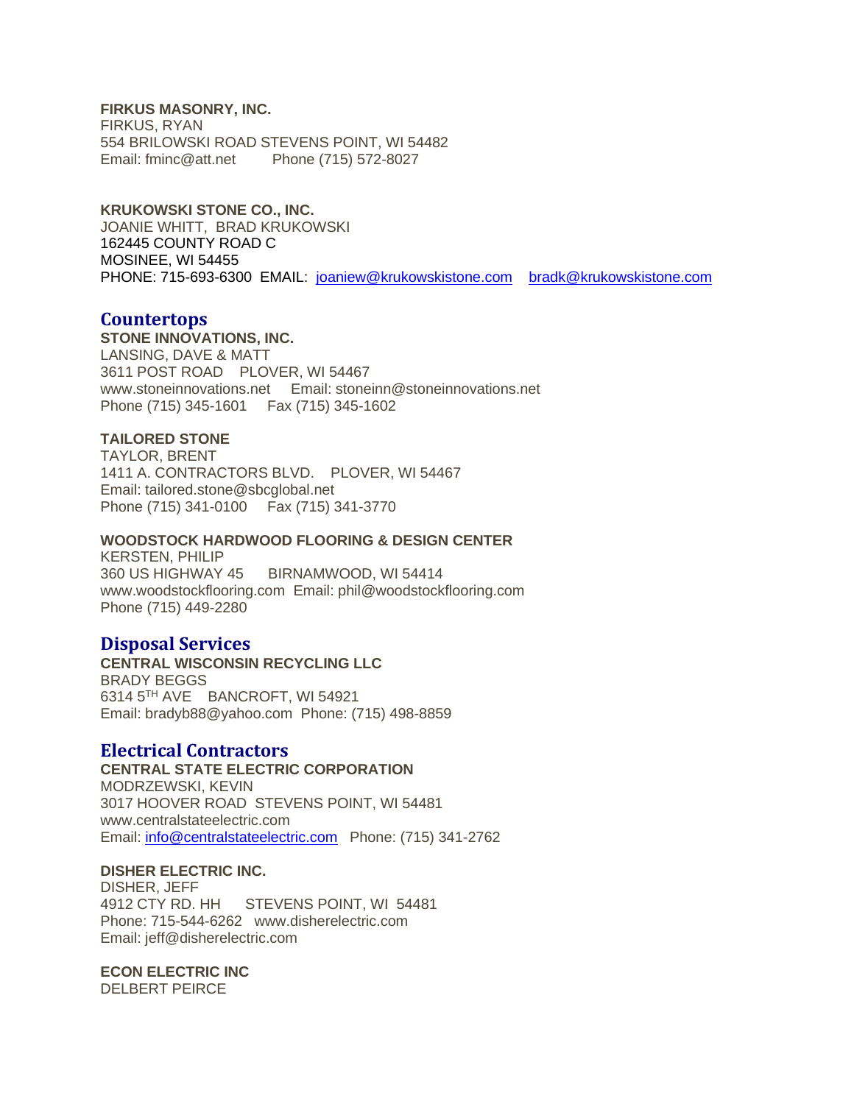**FIRKUS MASONRY, INC.**

FIRKUS, RYAN 554 BRILOWSKI ROAD STEVENS POINT, WI 54482 Email: fminc@att.net Phone (715) 572-8027

**KRUKOWSKI STONE CO., INC.** JOANIE WHITT, BRAD KRUKOWSKI 162445 COUNTY ROAD C MOSINEE, WI 54455 PHONE: 715-693-6300 EMAIL: [joaniew@krukowskistone.com](mailto:joaniew@krukowskistone.com) [bradk@krukowskistone.com](mailto:bradk@krukowskistone.com)

## **Countertops**

**STONE INNOVATIONS, INC.** LANSING, DAVE & MATT 3611 POST ROAD PLOVER, WI 54467 www.stoneinnovations.net Email: stoneinn@stoneinnovations.net Phone (715) 345-1601 Fax (715) 345-1602

### **TAILORED STONE**

TAYLOR, BRENT 1411 A. CONTRACTORS BLVD. PLOVER, WI 54467 Email: tailored.stone@sbcglobal.net Phone (715) 341-0100 Fax (715) 341-3770

### **WOODSTOCK HARDWOOD FLOORING & DESIGN CENTER**

KERSTEN, PHILIP 360 US HIGHWAY 45 BIRNAMWOOD, WI 54414 www.woodstockflooring.com Email: phil@woodstockflooring.com Phone (715) 449-2280

# **Disposal Services**

**CENTRAL WISCONSIN RECYCLING LLC** BRADY BEGGS 6314 5TH AVE BANCROFT, WI 54921 Email: bradyb88@yahoo.com Phone: (715) 498-8859

## **Electrical Contractors**

**CENTRAL STATE ELECTRIC CORPORATION** MODRZEWSKI, KEVIN 3017 HOOVER ROAD STEVENS POINT, WI 54481 www.centralstateelectric.com Email: [info@centralstateelectric.com](mailto:info@centralstateelectric.com) Phone: (715) 341-2762

### **DISHER ELECTRIC INC.**

DISHER, JEFF 4912 CTY RD. HH STEVENS POINT, WI 54481 Phone: 715-544-6262 www.disherelectric.com Email: jeff@disherelectric.com

### **ECON ELECTRIC INC**

DELBERT PEIRCE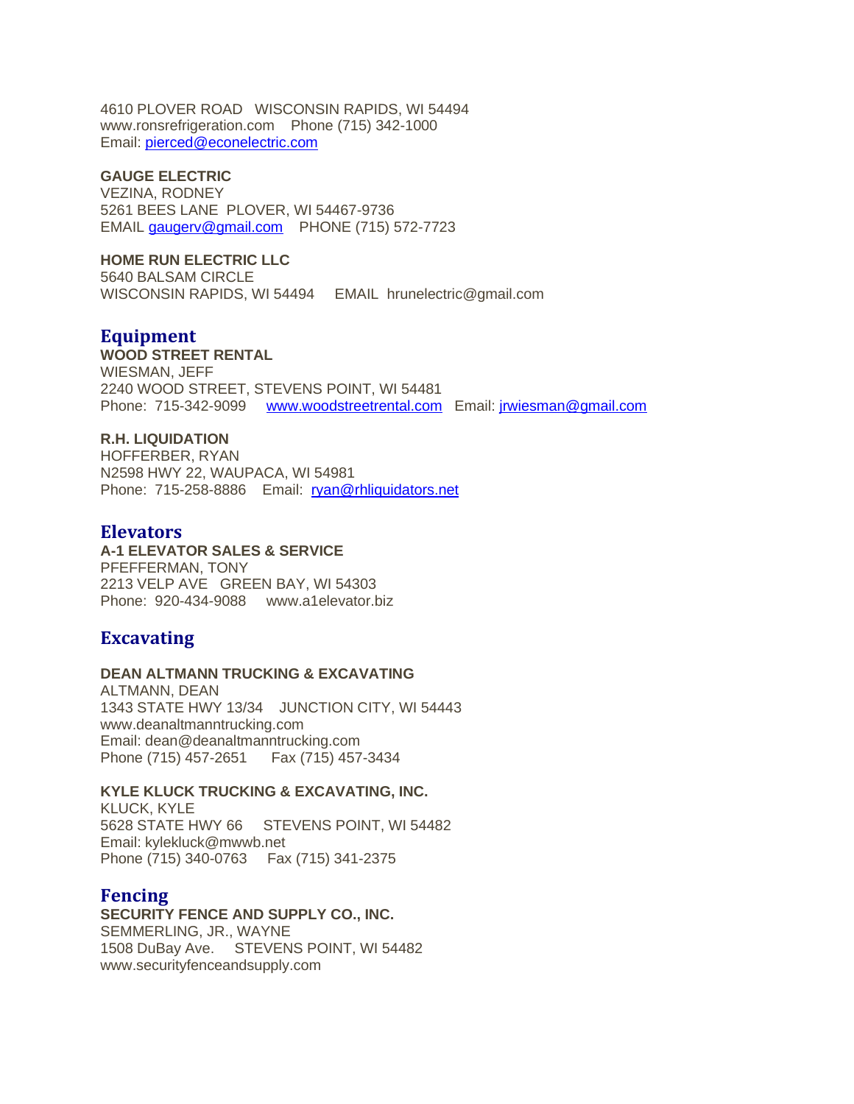4610 PLOVER ROAD WISCONSIN RAPIDS, WI 54494 www.ronsrefrigeration.com Phone (715) 342-1000 Email: [pierced@econelectric.com](mailto:pierced@econelectric.com)

## **GAUGE ELECTRIC**

VEZINA, RODNEY 5261 BEES LANE PLOVER, WI 54467-9736 EMAIL [gaugerv@gmail.com](mailto:gaugerv@gmail.com) PHONE (715) 572-7723

### **HOME RUN ELECTRIC LLC**

5640 BALSAM CIRCLE WISCONSIN RAPIDS, WI 54494 EMAIL hrunelectric@gmail.com

# **Equipment**

**WOOD STREET RENTAL** WIESMAN, JEFF 2240 WOOD STREET, STEVENS POINT, WI 54481 Phone: 715-342-9099 [www.woodstreetrental.com](http://www.woodstreetrental.com/) Email: [jrwiesman@gmail.com](mailto:jrwiesman@gmail.com)

# **R.H. LIQUIDATION**

HOFFERBER, RYAN N2598 HWY 22, WAUPACA, WI 54981 Phone: 715-258-8886 Email: [ryan@rhliquidators.net](mailto:ryan@rhliquidators.net)

## **Elevators**

**A-1 ELEVATOR SALES & SERVICE** PFEFFERMAN, TONY 2213 VELP AVE GREEN BAY, WI 54303

Phone: 920-434-9088 www.a1elevator.biz

# **Excavating**

#### **DEAN ALTMANN TRUCKING & EXCAVATING**

ALTMANN, DEAN 1343 STATE HWY 13/34 JUNCTION CITY, WI 54443 www.deanaltmanntrucking.com Email: dean@deanaltmanntrucking.com Phone (715) 457-2651 Fax (715) 457-3434

#### **KYLE KLUCK TRUCKING & EXCAVATING, INC.**

KLUCK, KYLE 5628 STATE HWY 66 STEVENS POINT, WI 54482 Email: kylekluck@mwwb.net Phone (715) 340-0763 Fax (715) 341-2375

# **Fencing**

**SECURITY FENCE AND SUPPLY CO., INC.** SEMMERLING, JR., WAYNE 1508 DuBay Ave. STEVENS POINT, WI 54482 www.securityfenceandsupply.com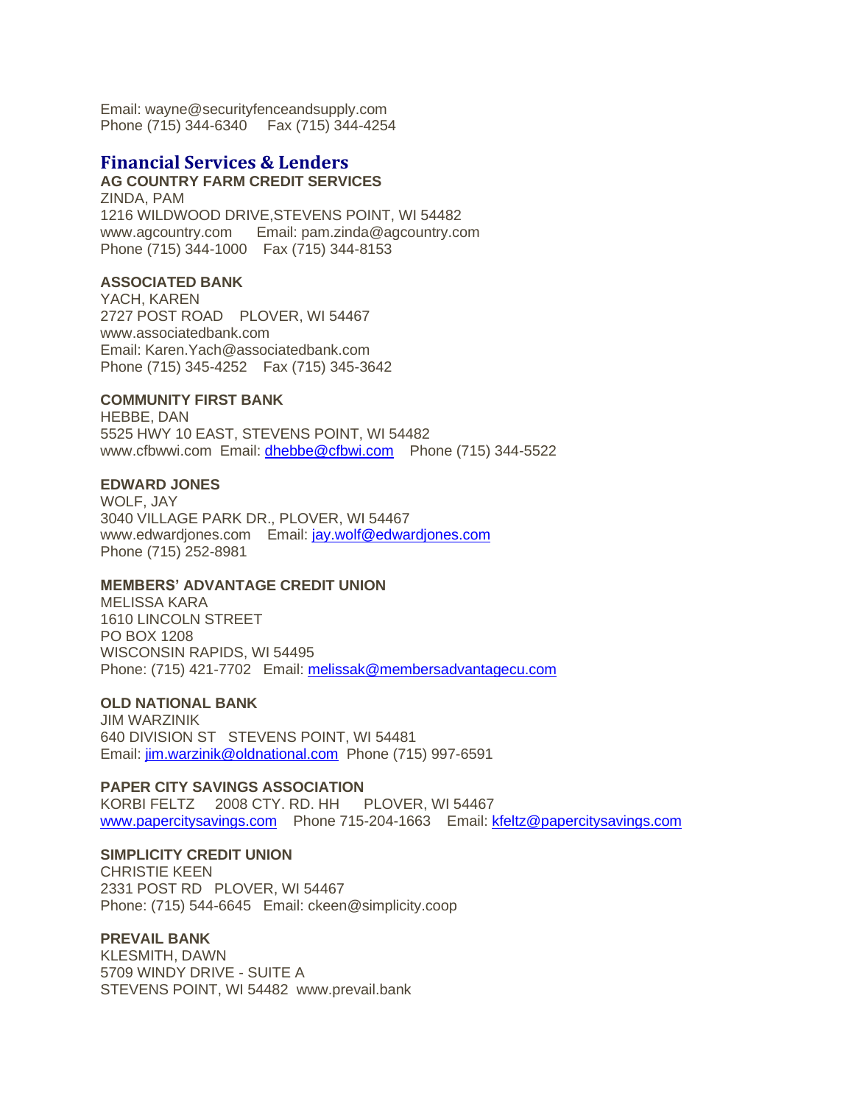Email: wayne@securityfenceandsupply.com Phone (715) 344-6340 Fax (715) 344-4254

# **Financial Services & Lenders**

**AG COUNTRY FARM CREDIT SERVICES** ZINDA, PAM 1216 WILDWOOD DRIVE,STEVENS POINT, WI 54482 www.agcountry.com Email: pam.zinda@agcountry.com Phone (715) 344-1000 Fax (715) 344-8153

### **ASSOCIATED BANK**

YACH, KAREN 2727 POST ROAD PLOVER, WI 54467 www.associatedbank.com Email: Karen.Yach@associatedbank.com Phone (715) 345-4252 Fax (715) 345-3642

### **COMMUNITY FIRST BANK**

HEBBE, DAN 5525 HWY 10 EAST, STEVENS POINT, WI 54482 www.cfbwwi.com Email: [dhebbe@cfbwi.com](mailto:dhebbe@cfbwi.com) Phone (715) 344-5522

### **EDWARD JONES**

WOLF, JAY 3040 VILLAGE PARK DR., PLOVER, WI 54467 www.edwardjones.com Email: [jay.wolf@edwardjones.com](mailto:jay.wolf@edwardjones.com) Phone (715) 252-8981

## **MEMBERS' ADVANTAGE CREDIT UNION**

MELISSA KARA 1610 LINCOLN STREET PO BOX 1208 WISCONSIN RAPIDS, WI 54495 Phone: (715) 421-7702 Email: [melissak@membersadvantagecu.com](mailto:melissak@membersadvantagecu.com)

### **OLD NATIONAL BANK**

JIM WARZINIK 640 DIVISION ST STEVENS POINT, WI 54481 Email: [jim.warzinik@oldnational.com](mailto:jim.warzinik@oldnational.com) Phone (715) 997-6591

### **PAPER CITY SAVINGS ASSOCIATION**

KORBI FELTZ 2008 CTY. RD. HH PLOVER, WI 54467 [www.papercitysavings.com](http://www.papercitysavings.com/) Phone 715-204-1663 Email: [kfeltz@papercitysavings.com](mailto:kfeltz@papercitysavings.com)

## **SIMPLICITY CREDIT UNION**

CHRISTIE KEEN 2331 POST RD PLOVER, WI 54467 Phone: (715) 544-6645 Email: ckeen@simplicity.coop

### **PREVAIL BANK**

KLESMITH, DAWN 5709 WINDY DRIVE - SUITE A STEVENS POINT, WI 54482 www.prevail.bank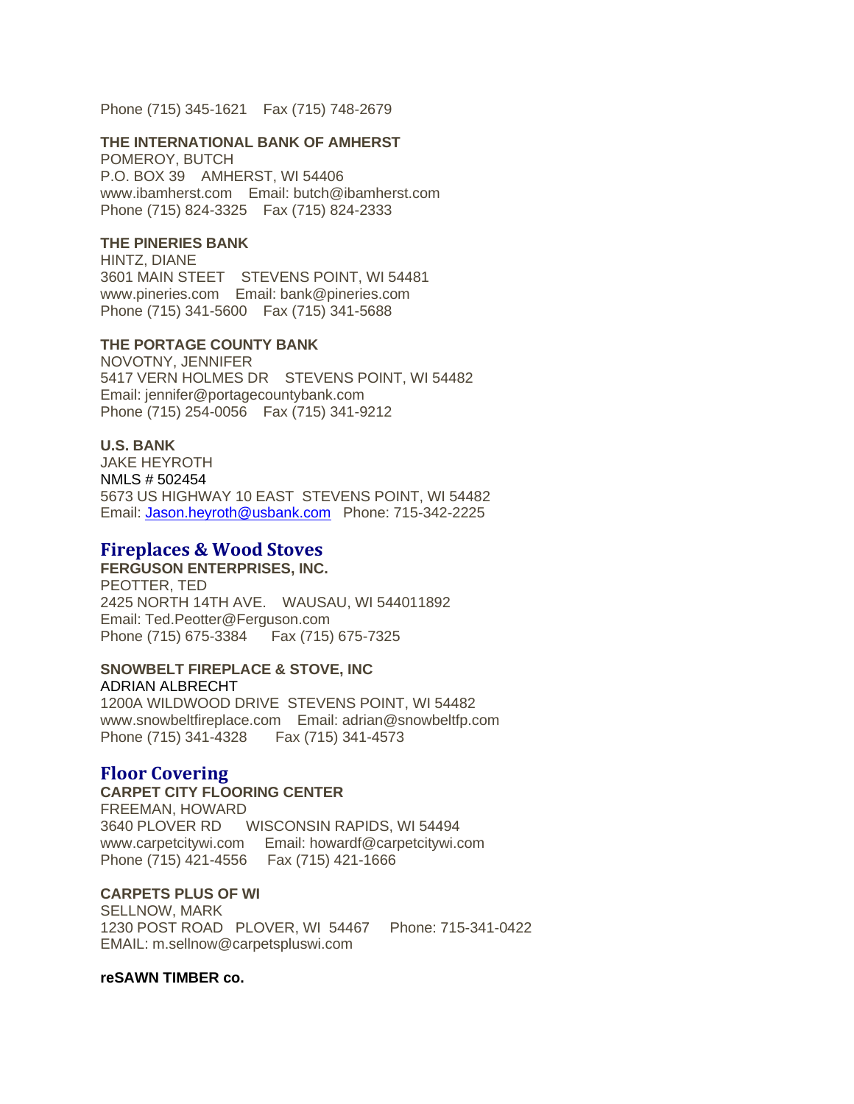Phone (715) 345-1621 Fax (715) 748-2679

#### **THE INTERNATIONAL BANK OF AMHERST**

POMEROY, BUTCH P.O. BOX 39 AMHERST, WI 54406 www.ibamherst.com Email: butch@ibamherst.com Phone (715) 824-3325 Fax (715) 824-2333

#### **THE PINERIES BANK**

HINTZ, DIANE 3601 MAIN STEET STEVENS POINT, WI 54481 www.pineries.com Email: bank@pineries.com Phone (715) 341-5600 Fax (715) 341-5688

### **THE PORTAGE COUNTY BANK**

NOVOTNY, JENNIFER 5417 VERN HOLMES DR STEVENS POINT, WI 54482 Email: jennifer@portagecountybank.com Phone (715) 254-0056 Fax (715) 341-9212

### **U.S. BANK**

JAKE HEYROTH NMLS # 502454 5673 US HIGHWAY 10 EAST STEVENS POINT, WI 54482 Email: [Jason.heyroth@usbank.com](mailto:Jason.heyroth@usbank.com) Phone: 715-342-2225

### **Fireplaces & Wood Stoves**

#### **FERGUSON ENTERPRISES, INC.**

PEOTTER, TED 2425 NORTH 14TH AVE. WAUSAU, WI 544011892 Email: Ted.Peotter@Ferguson.com Phone (715) 675-3384 Fax (715) 675-7325

#### **SNOWBELT FIREPLACE & STOVE, INC** ADRIAN ALBRECHT

1200A WILDWOOD DRIVE STEVENS POINT, WI 54482 www.snowbeltfireplace.com Email: adrian@snowbeltfp.com Phone (715) 341-4328 Fax (715) 341-4573

# **Floor Covering**

## **CARPET CITY FLOORING CENTER**

FREEMAN, HOWARD 3640 PLOVER RD WISCONSIN RAPIDS, WI 54494 www.carpetcitywi.com Email: howardf@carpetcitywi.com Phone (715) 421-4556 Fax (715) 421-1666

### **CARPETS PLUS OF WI**

SELLNOW, MARK 1230 POST ROAD PLOVER, WI 54467 Phone: 715-341-0422 EMAIL: m.sellnow@carpetspluswi.com

#### **reSAWN TIMBER co.**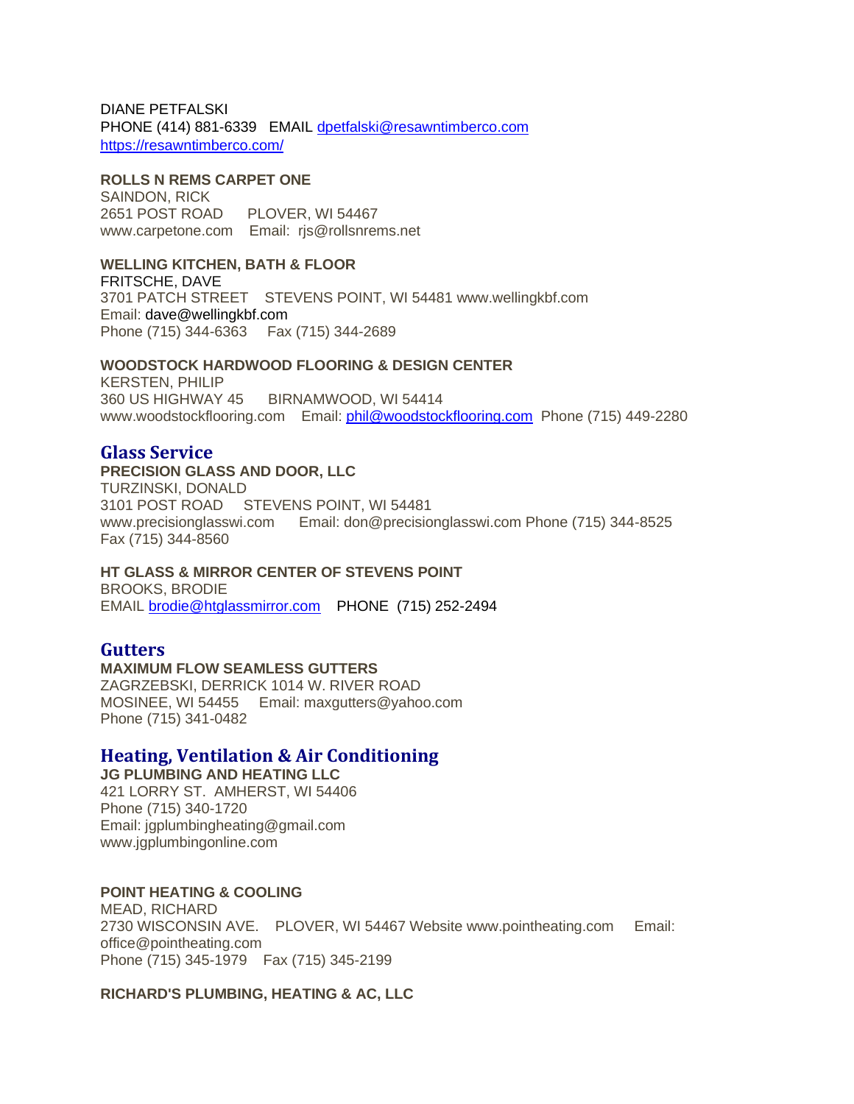DIANE PETFALSKI PHONE (414) 881-6339 EMAIL [dpetfalski@resawntimberco.com](mailto:dpetfalski@resawntimberco.com) <https://resawntimberco.com/>

#### **ROLLS N REMS CARPET ONE**

SAINDON, RICK 2651 POST ROAD PLOVER, WI 54467 www.carpetone.com Email: rjs@rollsnrems.net

### **WELLING KITCHEN, BATH & FLOOR**

FRITSCHE, DAVE 3701 PATCH STREET STEVENS POINT, WI 54481 www.wellingkbf.com Email: [dave@wellingkbf.com](mailto:dave@wellingkbf.com) Phone (715) 344-6363 Fax (715) 344-2689

### **WOODSTOCK HARDWOOD FLOORING & DESIGN CENTER**

KERSTEN, PHILIP 360 US HIGHWAY 45 BIRNAMWOOD, WI 54414 www.woodstockflooring.com Email: [phil@woodstockflooring.com](mailto:phil@woodstockflooring.com) Phone (715) 449-2280

# **Glass Service**

### **PRECISION GLASS AND DOOR, LLC**

TURZINSKI, DONALD 3101 POST ROAD STEVENS POINT, WI 54481 www.precisionglasswi.com Email: don@precisionglasswi.com Phone (715) 344-8525 Fax (715) 344-8560

## **HT GLASS & MIRROR CENTER OF STEVENS POINT**

BROOKS, BRODIE EMAIL [brodie@htglassmirror.com](mailto:brodie@htglassmirror.com) PHONE (715) 252-2494

# **Gutters**

**MAXIMUM FLOW SEAMLESS GUTTERS** ZAGRZEBSKI, DERRICK 1014 W. RIVER ROAD MOSINEE, WI 54455 Email: maxgutters@yahoo.com Phone (715) 341-0482

# **Heating, Ventilation & Air Conditioning**

**JG PLUMBING AND HEATING LLC** 421 LORRY ST. AMHERST, WI 54406 Phone (715) 340-1720 Email: jgplumbingheating@gmail.com www.jgplumbingonline.com

# **POINT HEATING & COOLING**

MEAD, RICHARD 2730 WISCONSIN AVE. PLOVER, WI 54467 Website www.pointheating.com Email: office@pointheating.com Phone (715) 345-1979 Fax (715) 345-2199

**RICHARD'S PLUMBING, HEATING & AC, LLC**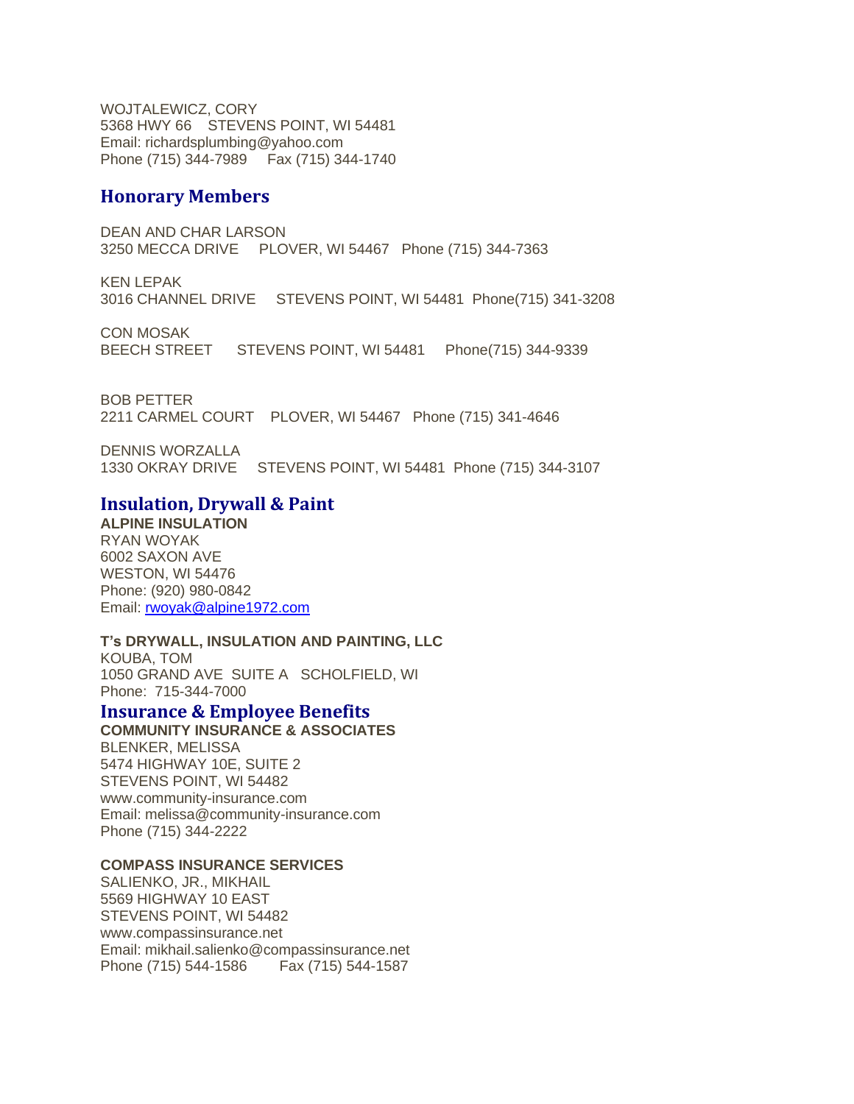WOJTALEWICZ, CORY 5368 HWY 66 STEVENS POINT, WI 54481 Email: richardsplumbing@yahoo.com Phone (715) 344-7989 Fax (715) 344-1740

# **Honorary Members**

DEAN AND CHAR LARSON 3250 MECCA DRIVE PLOVER, WI 54467 Phone (715) 344-7363

KEN LEPAK 3016 CHANNEL DRIVE STEVENS POINT, WI 54481 Phone(715) 341-3208

CON MOSAK BEECH STREET STEVENS POINT, WI 54481 Phone(715) 344-9339

BOB PETTER 2211 CARMEL COURT PLOVER, WI 54467 Phone (715) 341-4646

DENNIS WORZALLA 1330 OKRAY DRIVE STEVENS POINT, WI 54481 Phone (715) 344-3107

# **Insulation, Drywall & Paint**

**ALPINE INSULATION** RYAN WOYAK 6002 SAXON AVE WESTON, WI 54476 Phone: (920) 980-0842 Email: [rwoyak@alpine1972.com](mailto:rwoyak@alpine1972.com)

## **T's DRYWALL, INSULATION AND PAINTING, LLC**

KOUBA, TOM 1050 GRAND AVE SUITE A SCHOLFIELD, WI Phone: 715-344-7000

# **Insurance & Employee Benefits**

**COMMUNITY INSURANCE & ASSOCIATES** BLENKER, MELISSA 5474 HIGHWAY 10E, SUITE 2 STEVENS POINT, WI 54482 www.community-insurance.com Email: melissa@community-insurance.com Phone (715) 344-2222

## **COMPASS INSURANCE SERVICES**

SALIENKO, JR., MIKHAIL 5569 HIGHWAY 10 EAST STEVENS POINT, WI 54482 www.compassinsurance.net Email: mikhail.salienko@compassinsurance.net Phone (715) 544-1586 Fax (715) 544-1587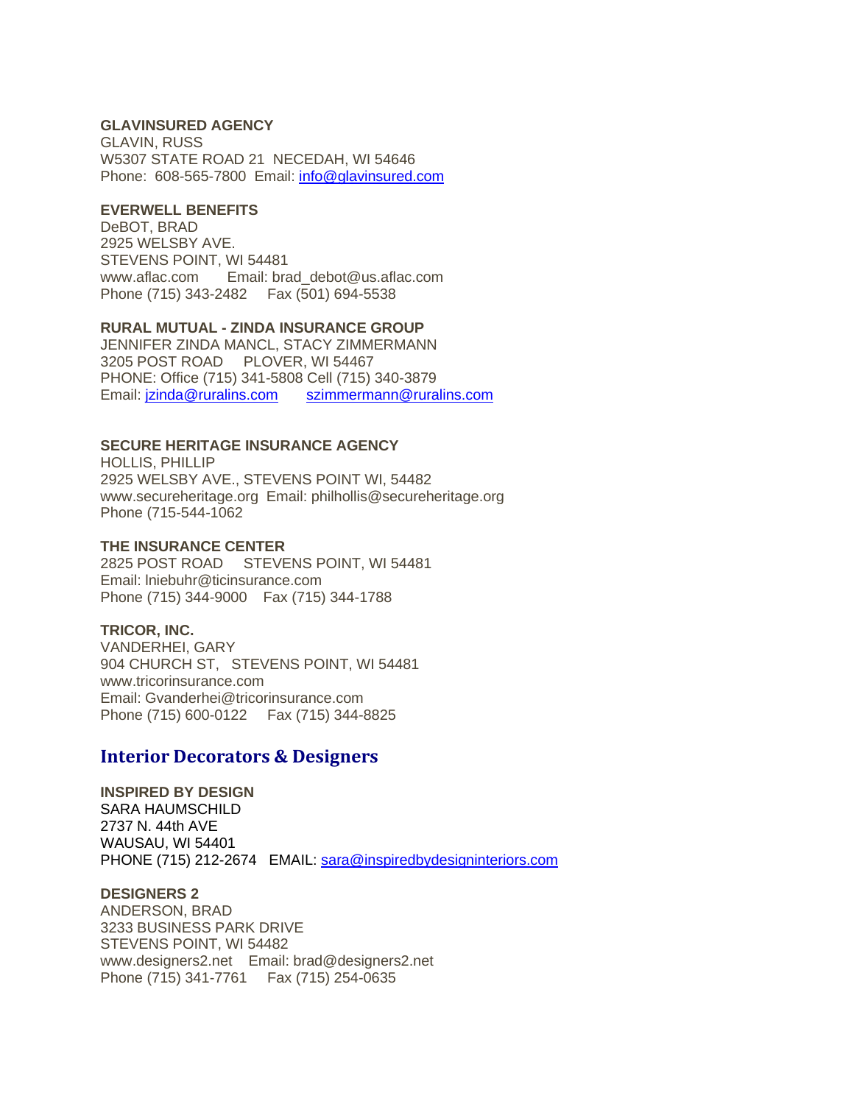### **GLAVINSURED AGENCY**

GLAVIN, RUSS W5307 STATE ROAD 21 NECEDAH, WI 54646 Phone: 608-565-7800 Email: [info@glavinsured.com](mailto:info@glavinsured.com)

#### **EVERWELL BENEFITS**

DeBOT, BRAD 2925 WELSBY AVE. STEVENS POINT, WI 54481 www.aflac.com Email: brad\_debot@us.aflac.com Phone (715) 343-2482 Fax (501) 694-5538

#### **RURAL MUTUAL - ZINDA INSURANCE GROUP**

JENNIFER ZINDA MANCL, STACY ZIMMERMANN 3205 POST ROAD PLOVER, WI 54467 PHONE: Office (715) 341-5808 Cell (715) 340-3879 Email: [jzinda@ruralins.com](mailto:jzinda@ruralins.com) [szimmermann@ruralins.com](mailto:szimmermann@ruralins.com)

### **SECURE HERITAGE INSURANCE AGENCY**

HOLLIS, PHILLIP 2925 WELSBY AVE., STEVENS POINT WI, 54482 www.secureheritage.org Email: philhollis@secureheritage.org Phone (715-544-1062

#### **THE INSURANCE CENTER**

2825 POST ROAD STEVENS POINT, WI 54481 Email: lniebuhr@ticinsurance.com Phone (715) 344-9000 Fax (715) 344-1788

### **TRICOR, INC.**

VANDERHEI, GARY 904 CHURCH ST, STEVENS POINT, WI 54481 www.tricorinsurance.com Email: Gvanderhei@tricorinsurance.com Phone (715) 600-0122 Fax (715) 344-8825

### **Interior Decorators & Designers**

**INSPIRED BY DESIGN** SARA HAUMSCHILD 2737 N. 44th AVE WAUSAU, WI 54401 PHONE (715) 212-2674 EMAIL: [sara@inspiredbydesigninteriors.com](mailto:sara@inspiredbydesigninteriors.com)

**DESIGNERS 2** ANDERSON, BRAD 3233 BUSINESS PARK DRIVE STEVENS POINT, WI 54482 www.designers2.net Email: brad@designers2.net Phone (715) 341-7761 Fax (715) 254-0635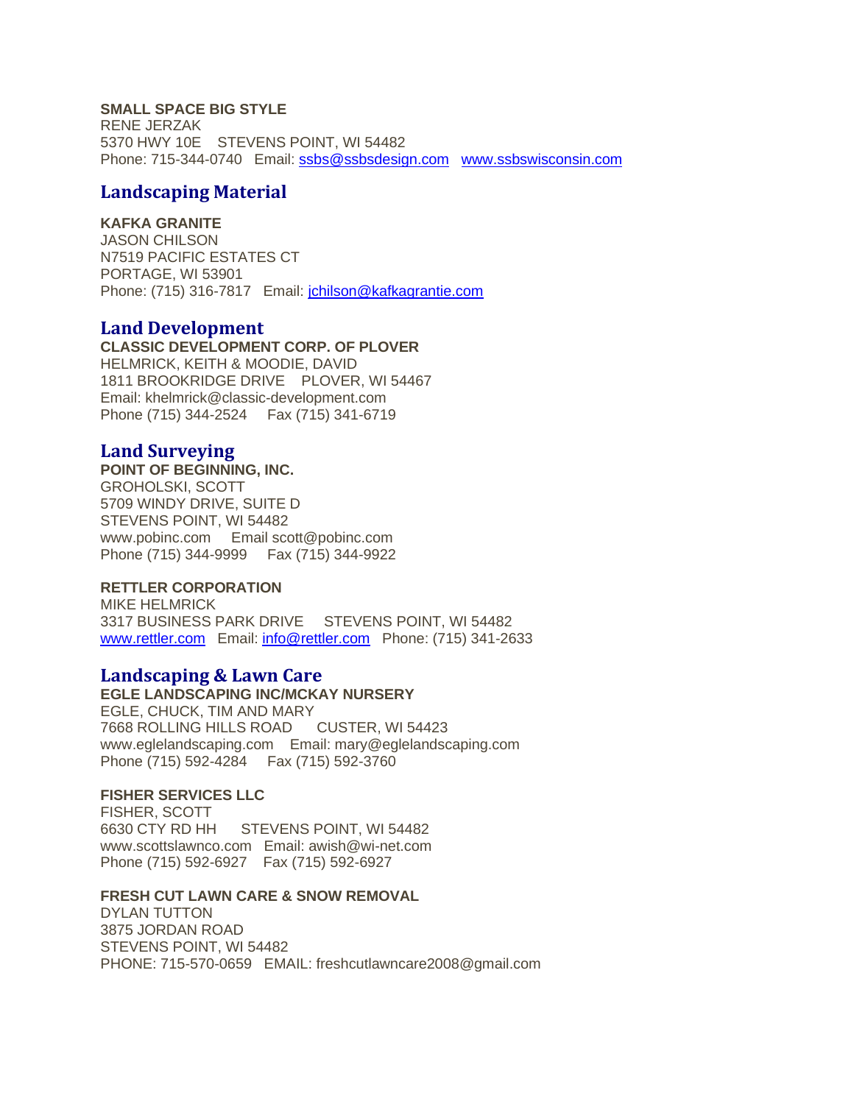## **SMALL SPACE BIG STYLE**

RENE JERZAK 5370 HWY 10E STEVENS POINT, WI 54482 Phone: 715-344-0740 Email: [ssbs@ssbsdesign.com](mailto:ssbs@ssbsdesign.com) [www.ssbswisconsin.com](http://www.ssbswisconsin.com/)

# **Landscaping Material**

### **KAFKA GRANITE**

JASON CHILSON N7519 PACIFIC ESTATES CT PORTAGE, WI 53901 Phone: (715) 316-7817 Email: [jchilson@kafkagrantie.com](mailto:jchilson@kafkagrantie.com)

## **Land Development**

**CLASSIC DEVELOPMENT CORP. OF PLOVER** HELMRICK, KEITH & MOODIE, DAVID 1811 BROOKRIDGE DRIVE PLOVER, WI 54467 Email: khelmrick@classic-development.com Phone (715) 344-2524 Fax (715) 341-6719

# **Land Surveying**

## **POINT OF BEGINNING, INC.**

GROHOLSKI, SCOTT 5709 WINDY DRIVE, SUITE D STEVENS POINT, WI 54482 www.pobinc.com Email scott@pobinc.com Phone (715) 344-9999 Fax (715) 344-9922

### **RETTLER CORPORATION**

MIKE HELMRICK 3317 BUSINESS PARK DRIVE STEVENS POINT, WI 54482 [www.rettler.com](http://www.rettler.com/) Email: [info@rettler.com](mailto:info@rettler.com) Phone: (715) 341-2633

## **Landscaping & Lawn Care**

### **EGLE LANDSCAPING INC/MCKAY NURSERY**

EGLE, CHUCK, TIM AND MARY 7668 ROLLING HILLS ROAD CUSTER, WI 54423 www.eglelandscaping.com Email: mary@eglelandscaping.com Phone (715) 592-4284 Fax (715) 592-3760

### **FISHER SERVICES LLC**

FISHER, SCOTT 6630 CTY RD HH STEVENS POINT, WI 54482 www.scottslawnco.com Email: awish@wi-net.com Phone (715) 592-6927 Fax (715) 592-6927

## **FRESH CUT LAWN CARE & SNOW REMOVAL**

DYLAN TUTTON 3875 JORDAN ROAD STEVENS POINT, WI 54482 PHONE: 715-570-0659 EMAIL: freshcutlawncare2008@gmail.com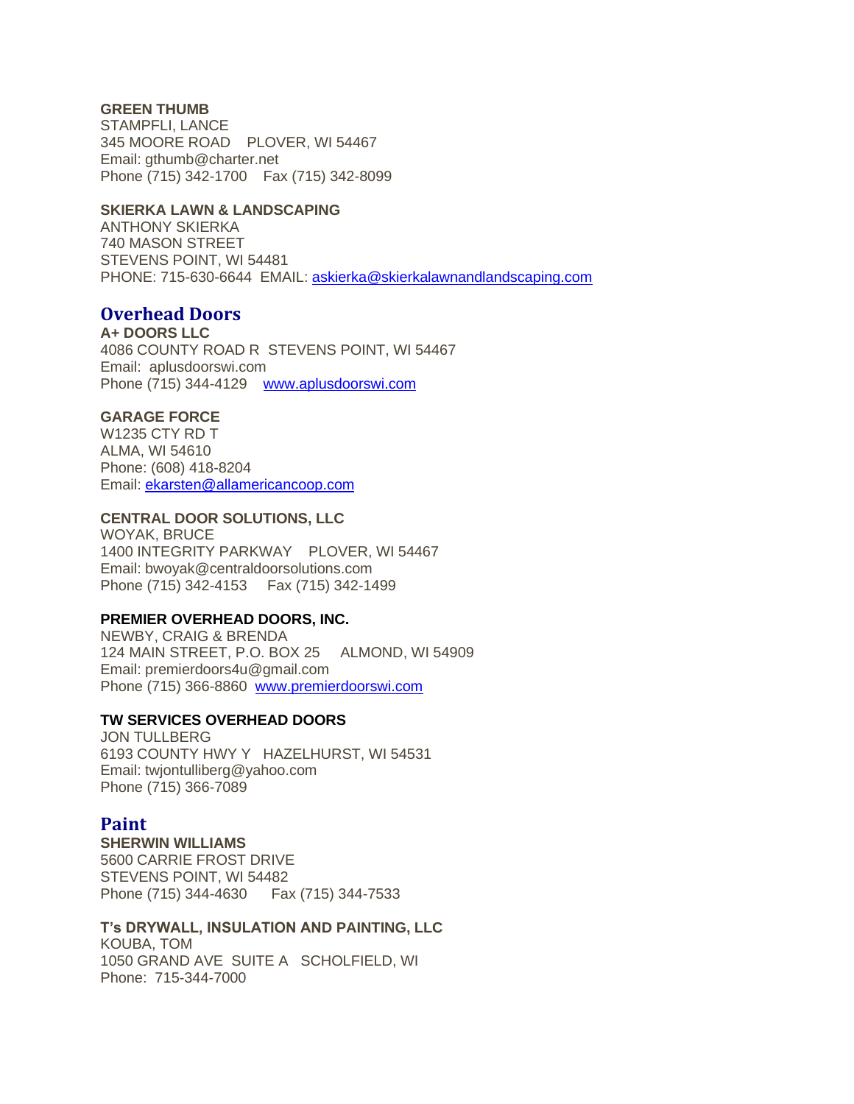### **GREEN THUMB**

STAMPFLI, LANCE 345 MOORE ROAD PLOVER, WI 54467 Email: gthumb@charter.net Phone (715) 342-1700 Fax (715) 342-8099

#### **SKIERKA LAWN & LANDSCAPING**

ANTHONY SKIERKA 740 MASON STREET STEVENS POINT, WI 54481 PHONE: 715-630-6644 EMAIL[: askierka@skierkalawnandlandscaping.com](mailto:askierka@skierkalawnandlandscaping.com)

# **Overhead Doors**

**A+ DOORS LLC** 4086 COUNTY ROAD R STEVENS POINT, WI 54467 Email: aplusdoorswi.com Phone (715) 344-4129 [www.aplusdoorswi.com](http://www.aplusdoorswi.com/)

### **GARAGE FORCE**

W1235 CTY RD T ALMA, WI 54610 Phone: (608) 418-8204 Email: [ekarsten@allamericancoop.com](mailto:ekarsten@allamericancoop.com)

## **CENTRAL DOOR SOLUTIONS, LLC**

WOYAK, BRUCE 1400 INTEGRITY PARKWAY PLOVER, WI 54467 Email: bwoyak@centraldoorsolutions.com Phone (715) 342-4153 Fax (715) 342-1499

#### **PREMIER OVERHEAD DOORS, INC.**

NEWBY, CRAIG & BRENDA 124 MAIN STREET, P.O. BOX 25 ALMOND, WI 54909 Email: premierdoors4u@gmail.com Phone (715) 366-8860 [www.premierdoorswi.com](http://www.premierdoorswi.com/)

### **TW SERVICES OVERHEAD DOORS**

JON TULLBERG 6193 COUNTY HWY Y HAZELHURST, WI 54531 Email: twjontulliberg@yahoo.com Phone (715) 366-7089

### **Paint**

**SHERWIN WILLIAMS** 5600 CARRIE FROST DRIVE STEVENS POINT, WI 54482 Phone (715) 344-4630 Fax (715) 344-7533

# **T's DRYWALL, INSULATION AND PAINTING, LLC**

KOUBA, TOM 1050 GRAND AVE SUITE A SCHOLFIELD, WI Phone: 715-344-7000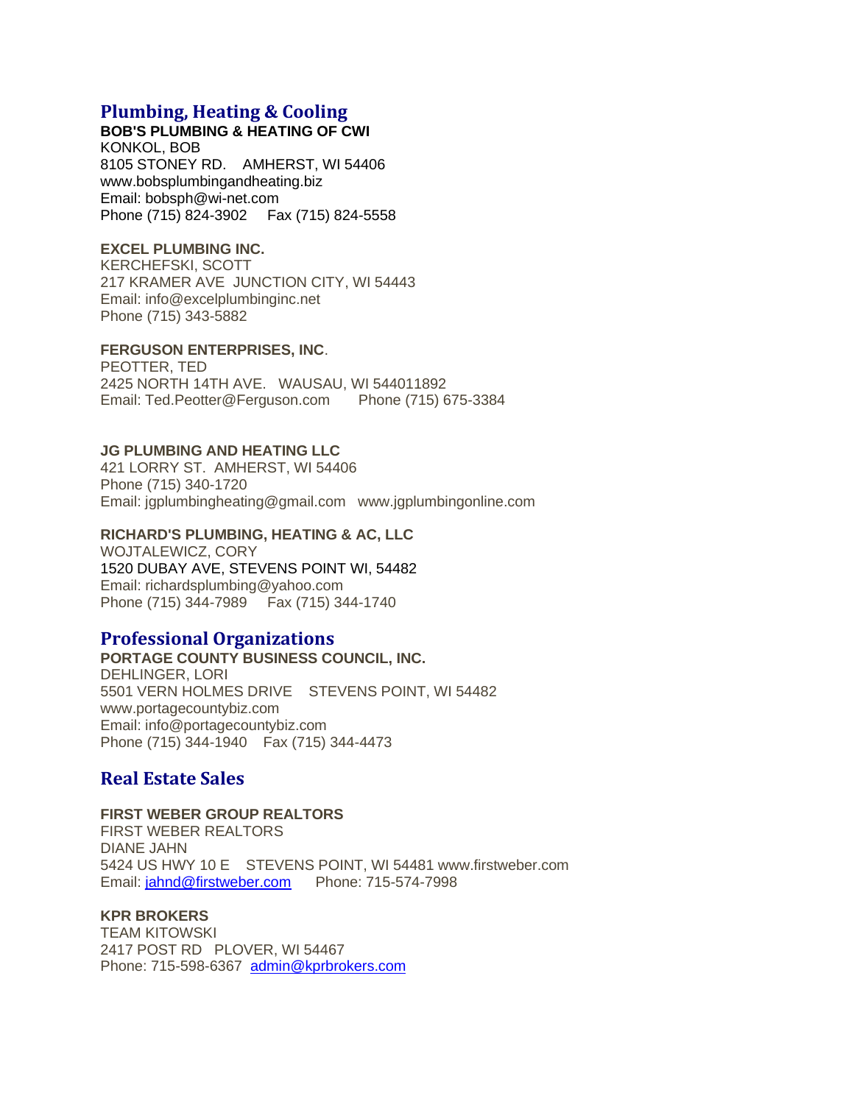# **Plumbing, Heating & Cooling**

**BOB'S PLUMBING & HEATING OF CWI** KONKOL, BOB 8105 STONEY RD. AMHERST, WI 54406 www.bobsplumbingandheating.biz Email: bobsph@wi-net.com Phone (715) 824-3902 Fax (715) 824-5558

## **EXCEL PLUMBING INC.**

KERCHEFSKI, SCOTT 217 KRAMER AVE JUNCTION CITY, WI 54443 Email: info@excelplumbinginc.net Phone (715) 343-5882

### **FERGUSON ENTERPRISES, INC**.

PEOTTER, TED 2425 NORTH 14TH AVE. WAUSAU, WI 544011892 Email: Ted.Peotter@Ferguson.com Phone (715) 675-3384

### **JG PLUMBING AND HEATING LLC**

421 LORRY ST. AMHERST, WI 54406 Phone (715) 340-1720 Email: jgplumbingheating@gmail.com www.jgplumbingonline.com

## **RICHARD'S PLUMBING, HEATING & AC, LLC**

WOJTALEWICZ, CORY 1520 DUBAY AVE, STEVENS POINT WI, 54482 Email: richardsplumbing@yahoo.com Phone (715) 344-7989 Fax (715) 344-1740

# **Professional Organizations**

**PORTAGE COUNTY BUSINESS COUNCIL, INC.** DEHLINGER, LORI 5501 VERN HOLMES DRIVE STEVENS POINT, WI 54482 www.portagecountybiz.com Email: info@portagecountybiz.com Phone (715) 344-1940 Fax (715) 344-4473

# **Real Estate Sales**

# **FIRST WEBER GROUP REALTORS**

FIRST WEBER REALTORS DIANE JAHN 5424 US HWY 10 E STEVENS POINT, WI 54481 www.firstweber.com Email: [jahnd@firstweber.com](mailto:jahnd@firstweber.com)  Phone: 715-574-7998

### **KPR BROKERS**

TEAM KITOWSKI 2417 POST RD PLOVER, WI 54467 Phone: 715-598-6367 [admin@kprbrokers.com](mailto:admin@kprbrokers.com)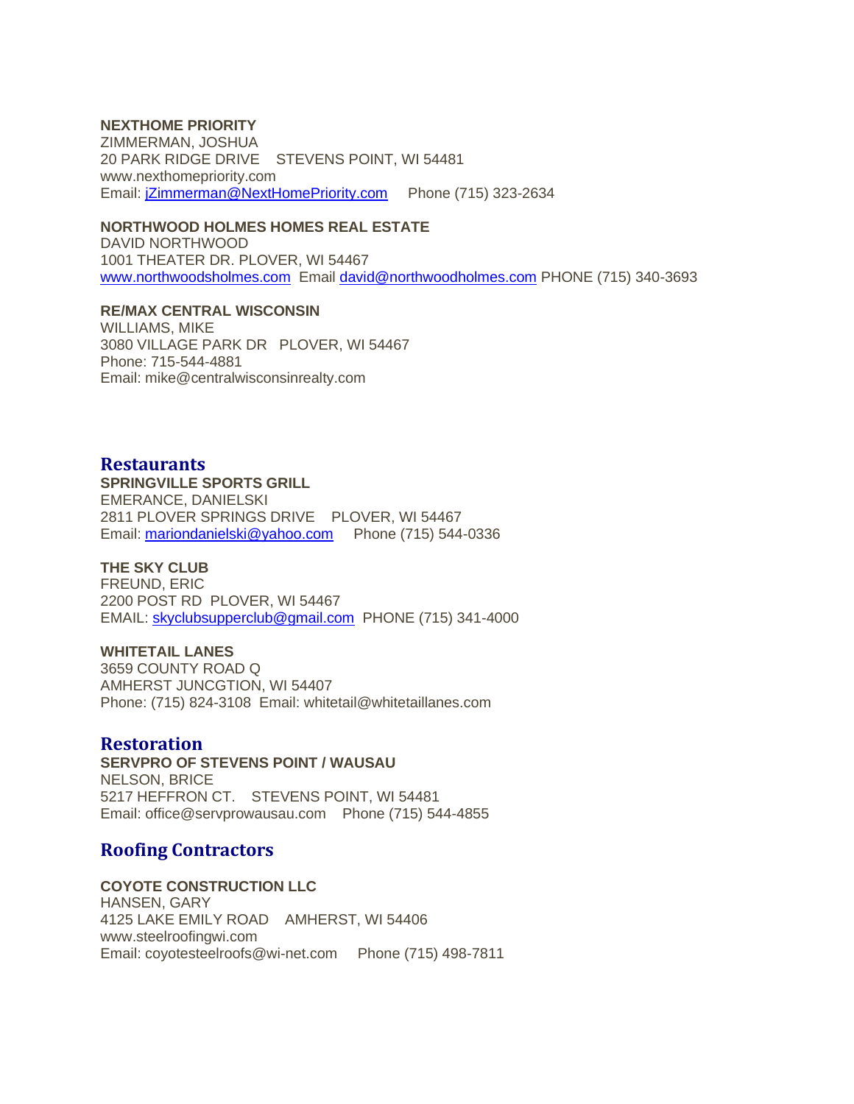### **NEXTHOME PRIORITY**

ZIMMERMAN, JOSHUA 20 PARK RIDGE DRIVE STEVENS POINT, WI 54481 www.nexthomepriority.com Email: [jZimmerman@NextHomePriority.com](mailto:jZimmerman@NextHomePriority.com) Phone (715) 323-2634

### **NORTHWOOD HOLMES HOMES REAL ESTATE**

DAVID NORTHWOOD 1001 THEATER DR. PLOVER, WI 54467 [www.northwoodsholmes.com](http://www.northwoodsholmes.com/) Email [david@northwoodholmes.com](mailto:david@northwoodholmes.com) PHONE (715) 340-3693

### **RE/MAX CENTRAL WISCONSIN**

WILLIAMS, MIKE 3080 VILLAGE PARK DR PLOVER, WI 54467 Phone: 715-544-4881 Email: mike@centralwisconsinrealty.com

## **Restaurants**

### **SPRINGVILLE SPORTS GRILL**

EMERANCE, DANIELSKI 2811 PLOVER SPRINGS DRIVE PLOVER, WI 54467 Email: [mariondanielski@yahoo.com](mailto:mariondanielski@yahoo.com) Phone (715) 544-0336

## **THE SKY CLUB**

FREUND, ERIC 2200 POST RD PLOVER, WI 54467 EMAIL: [skyclubsupperclub@gmail.com](mailto:skyclubsupperclub@gmail.com) PHONE (715) 341-4000

#### **WHITETAIL LANES**

3659 COUNTY ROAD Q AMHERST JUNCGTION, WI 54407 Phone: (715) 824-3108 Email: whitetail@whitetaillanes.com

## **Restoration**

**SERVPRO OF STEVENS POINT / WAUSAU** NELSON, BRICE 5217 HEFFRON CT. STEVENS POINT, WI 54481 Email: office@servprowausau.com Phone (715) 544-4855

# **Roofing Contractors**

#### **COYOTE CONSTRUCTION LLC**

HANSEN, GARY 4125 LAKE EMILY ROAD AMHERST, WI 54406 www.steelroofingwi.com Email: coyotesteelroofs@wi-net.com Phone (715) 498-7811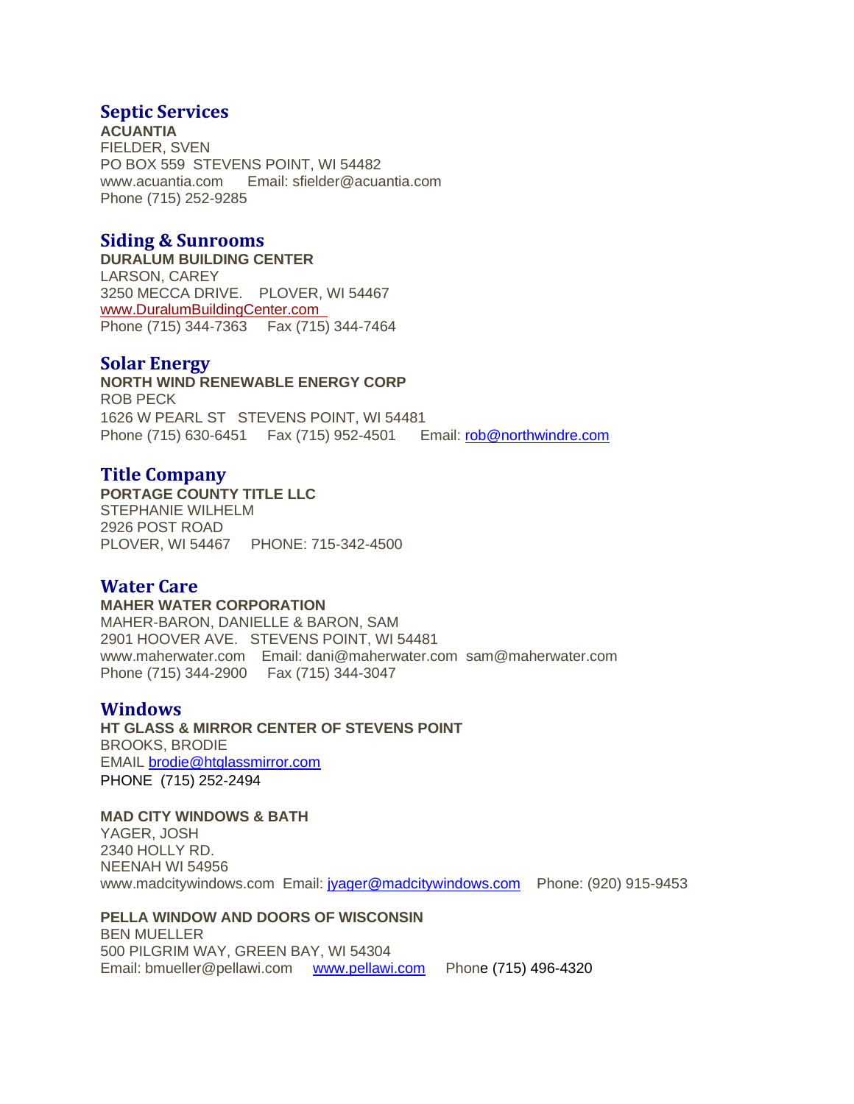# **Septic Services**

**ACUANTIA** FIELDER, SVEN PO BOX 559 STEVENS POINT, WI 54482 www.acuantia.com Email: sfielder@acuantia.com Phone (715) 252-9285

# **Siding & Sunrooms**

**DURALUM BUILDING CENTER** LARSON, CAREY 3250 MECCA DRIVE. PLOVER, WI 54467 [www.DuralumBuildingCenter.com](http://www.duralumbuildingcenter.com/)  Phone (715) 344-7363 Fax (715) 344-7464

# **Solar Energy**

**NORTH WIND RENEWABLE ENERGY CORP** ROB PECK 1626 W PEARL ST STEVENS POINT, WI 54481 Phone (715) 630-6451 Fax (715) 952-4501 Email: [rob@northwindre.com](mailto:rob@northwindre.com)

# **Title Company**

**PORTAGE COUNTY TITLE LLC** STEPHANIE WILHELM 2926 POST ROAD PLOVER, WI 54467 PHONE: 715-342-4500

# **Water Care**

### **MAHER WATER CORPORATION**

MAHER-BARON, DANIELLE & BARON, SAM 2901 HOOVER AVE. STEVENS POINT, WI 54481 www.maherwater.com Email: dani@maherwater.com sam@maherwater.com Phone (715) 344-2900 Fax (715) 344-3047

# **Windows**

**HT GLASS & MIRROR CENTER OF STEVENS POINT** BROOKS, BRODIE EMAIL [brodie@htglassmirror.com](mailto:brodie@htglassmirror.com) PHONE (715) 252-2494

## **MAD CITY WINDOWS & BATH**

YAGER, JOSH 2340 HOLLY RD. NEENAH WI 54956 www.madcitywindows.com Email: [jyager@madcitywindows.com](mailto:jyager@madcitywindows.com) Phone: (920) 915-9453

## **PELLA WINDOW AND DOORS OF WISCONSIN**

BEN MUELLER 500 PILGRIM WAY, GREEN BAY, WI 54304 Email: bmueller@pellawi.com [www.pellawi.com](http://www.pellawi.com/) Phone (715) 496-4320